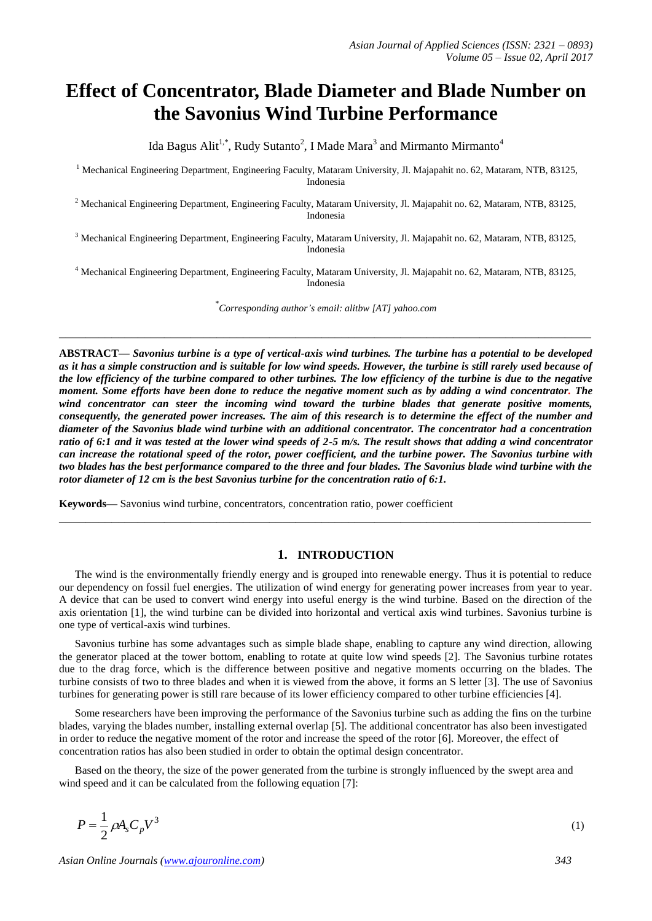# **Effect of Concentrator, Blade Diameter and Blade Number on the Savonius Wind Turbine Performance**

Ida Bagus Alit<sup>1,\*</sup>, Rudy Sutanto<sup>2</sup>, I Made Mara<sup>3</sup> and Mirmanto Mirmanto<sup>4</sup>

<sup>1</sup> Mechanical Engineering Department, Engineering Faculty, Mataram University, Jl. Majapahit no. 62, Mataram, NTB, 83125, Indonesia

<sup>2</sup> Mechanical Engineering Department, Engineering Faculty, Mataram University, Jl. Majapahit no. 62, Mataram, NTB, 83125, Indonesia

<sup>3</sup> Mechanical Engineering Department, Engineering Faculty, Mataram University, Jl. Majapahit no. 62, Mataram, NTB, 83125, Indonesia

<sup>4</sup> Mechanical Engineering Department, Engineering Faculty, Mataram University, Jl. Majapahit no. 62, Mataram, NTB, 83125, Indonesia

\* *Corresponding author's email: alitbw [AT] yahoo.com*

**\_\_\_\_\_\_\_\_\_\_\_\_\_\_\_\_\_\_\_\_\_\_\_\_\_\_\_\_\_\_\_\_\_\_\_\_\_\_\_\_\_\_\_\_\_\_\_\_\_\_\_\_\_\_\_\_\_\_\_\_\_\_\_\_\_\_\_\_\_\_\_\_\_\_\_\_\_\_\_\_\_**

**ABSTRACT—** *Savonius turbine is a type of vertical-axis wind turbines. The turbine has a potential to be developed as it has a simple construction and is suitable for low wind speeds. However, the turbine is still rarely used because of the low efficiency of the turbine compared to other turbines. The low efficiency of the turbine is due to the negative moment. Some efforts have been done to reduce the negative moment such as by adding a wind concentrator. The wind concentrator can steer the incoming wind toward the turbine blades that generate positive moments, consequently, the generated power increases. The aim of this research is to determine the effect of the number and diameter of the Savonius blade wind turbine with an additional concentrator. The concentrator had a concentration ratio of 6:1 and it was tested at the lower wind speeds of 2-5 m/s. The result shows that adding a wind concentrator can increase the rotational speed of the rotor, power coefficient, and the turbine power. The Savonius turbine with two blades has the best performance compared to the three and four blades. The Savonius blade wind turbine with the rotor diameter of 12 cm is the best Savonius turbine for the concentration ratio of 6:1.*

**Keywords—** Savonius wind turbine, concentrators, concentration ratio, power coefficient

## **1. INTRODUCTION**

The wind is the environmentally friendly energy and is grouped into renewable energy. Thus it is potential to reduce our dependency on fossil fuel energies. The utilization of wind energy for generating power increases from year to year. A device that can be used to convert wind energy into useful energy is the wind turbine. Based on the direction of the axis orientation [1], the wind turbine can be divided into horizontal and vertical axis wind turbines. Savonius turbine is one type of vertical-axis wind turbines.

**\_\_\_\_\_\_\_\_\_\_\_\_\_\_\_\_\_\_\_\_\_\_\_\_\_\_\_\_\_\_\_\_\_\_\_\_\_\_\_\_\_\_\_\_\_\_\_\_\_\_\_\_\_\_\_\_\_\_\_\_\_\_\_\_\_\_\_\_\_\_\_\_\_\_\_\_\_\_\_\_\_**

Savonius turbine has some advantages such as simple blade shape, enabling to capture any wind direction, allowing the generator placed at the tower bottom, enabling to rotate at quite low wind speeds [2]. The Savonius turbine rotates due to the drag force, which is the difference between positive and negative moments occurring on the blades. The turbine consists of two to three blades and when it is viewed from the above, it forms an S letter [3]. The use of Savonius turbines for generating power is still rare because of its lower efficiency compared to other turbine efficiencies [4].

Some researchers have been improving the performance of the Savonius turbine such as adding the fins on the turbine blades, varying the blades number, installing external overlap [5]. The additional concentrator has also been investigated in order to reduce the negative moment of the rotor and increase the speed of the rotor [6]. Moreover, the effect of concentration ratios has also been studied in order to obtain the optimal design concentrator.

Based on the theory, the size of the power generated from the turbine is strongly influenced by the swept area and wind speed and it can be calculated from the following equation [7]:

3 2  $P = \frac{1}{2} \rho A_s C_p V^3$  (1)

*Asian Online Journals [\(www.ajouronline.com\)](http://www.ajouronline.com/) 343*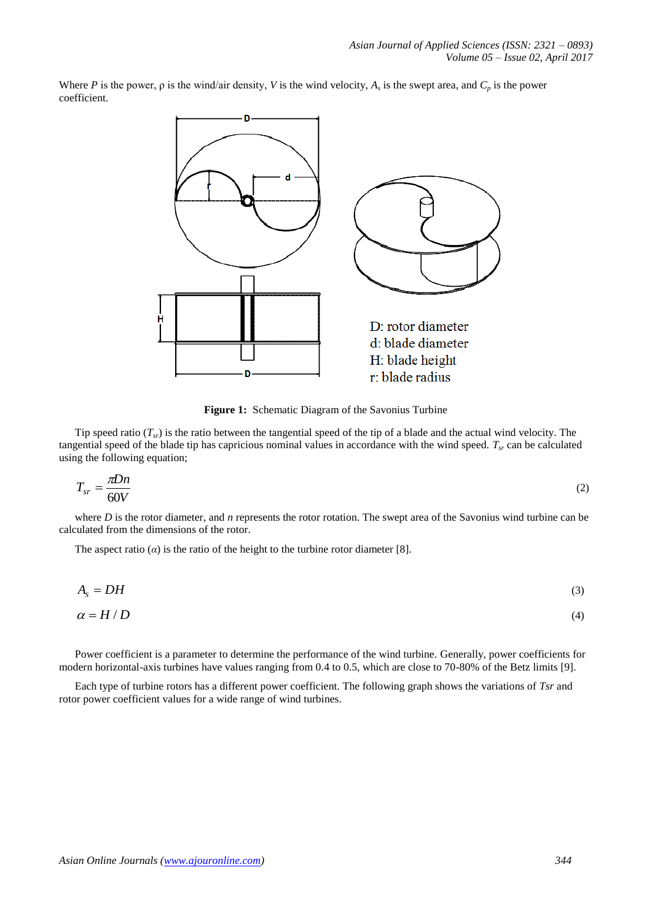Where *P* is the power,  $\rho$  is the wind/air density, *V* is the wind velocity,  $A_s$  is the swept area, and  $C_p$  is the power coefficient.



**Figure 1:** Schematic Diagram of the Savonius Turbine

Tip speed ratio  $(T<sub>sr</sub>)$  is the ratio between the tangential speed of the tip of a blade and the actual wind velocity. The tangential speed of the blade tip has capricious nominal values in accordance with the wind speed. *Tsr* can be calculated using the following equation;

$$
T_{sr} = \frac{\pi D n}{60V} \tag{2}
$$

where *D* is the rotor diameter, and *n* represents the rotor rotation. The swept area of the Savonius wind turbine can be calculated from the dimensions of the rotor.

The aspect ratio  $(a)$  is the ratio of the height to the turbine rotor diameter [8].

$$
A_s = DH \tag{3}
$$

$$
\alpha = H/D \tag{4}
$$

Power coefficient is a parameter to determine the performance of the wind turbine. Generally, power coefficients for modern horizontal-axis turbines have values ranging from 0.4 to 0.5, which are close to 70-80% of the Betz limits [9].

Each type of turbine rotors has a different power coefficient. The following graph shows the variations of *Tsr* and rotor power coefficient values for a wide range of wind turbines.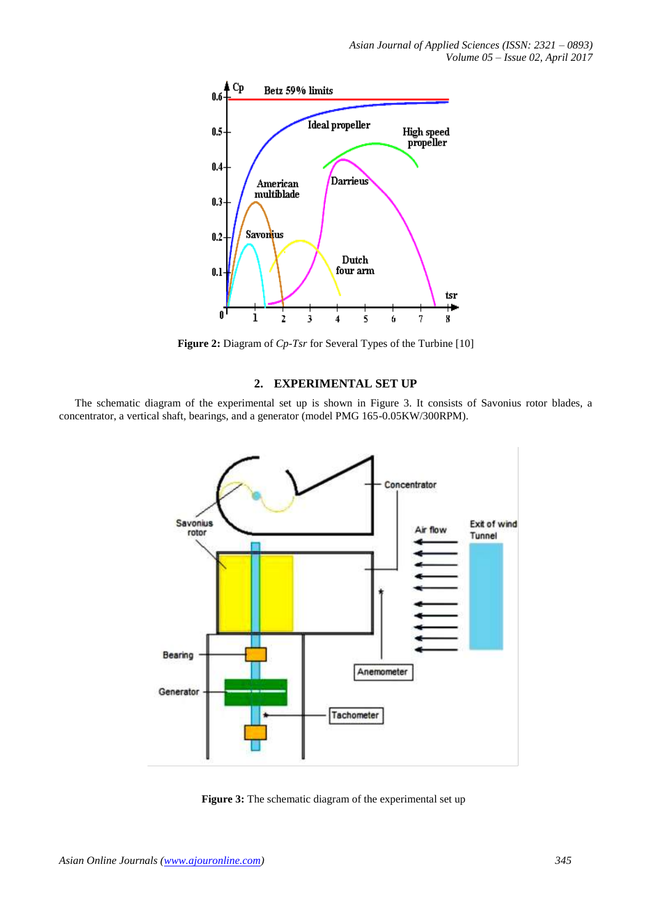

**Figure 2:** Diagram of *Cp-Tsr* for Several Types of the Turbine [10]

## **2. EXPERIMENTAL SET UP**

The schematic diagram of the experimental set up is shown in Figure 3. It consists of Savonius rotor blades, a concentrator, a vertical shaft, bearings, and a generator (model PMG 165-0.05KW/300RPM).



Figure 3: The schematic diagram of the experimental set up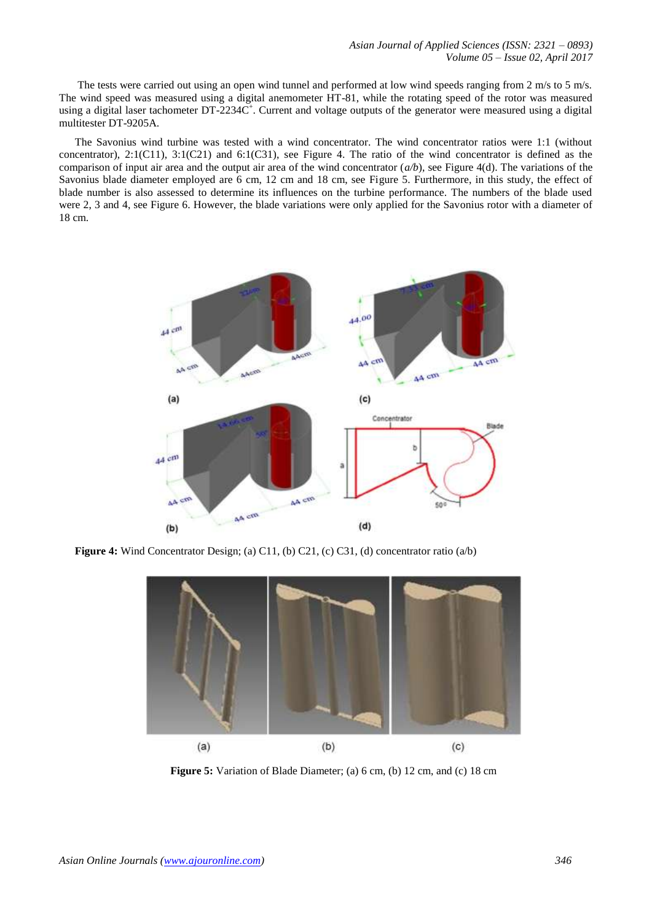The tests were carried out using an open wind tunnel and performed at low wind speeds ranging from 2 m/s to 5 m/s. The wind speed was measured using a digital anemometer HT-81, while the rotating speed of the rotor was measured using a digital laser tachometer DT-2234C<sup>+</sup>. Current and voltage outputs of the generator were measured using a digital multitester DT-9205A.

The Savonius wind turbine was tested with a wind concentrator. The wind concentrator ratios were 1:1 (without concentrator), 2:1(C11), 3:1(C21) and 6:1(C31), see Figure 4. The ratio of the wind concentrator is defined as the comparison of input air area and the output air area of the wind concentrator (*a/b*), see Figure 4(d). The variations of the Savonius blade diameter employed are 6 cm, 12 cm and 18 cm, see Figure 5. Furthermore, in this study, the effect of blade number is also assessed to determine its influences on the turbine performance. The numbers of the blade used were 2, 3 and 4, see Figure 6. However, the blade variations were only applied for the Savonius rotor with a diameter of 18 cm.



**Figure 4:** Wind Concentrator Design; (a) C11, (b) C21, (c) C31, (d) concentrator ratio (a/b)



**Figure 5:** Variation of Blade Diameter; (a) 6 cm, (b) 12 cm, and (c) 18 cm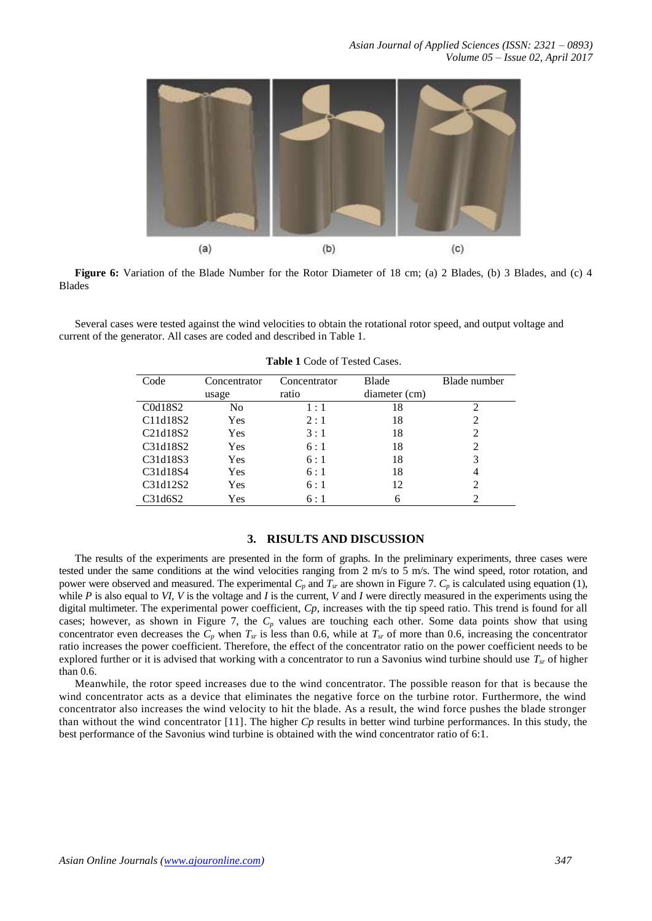

**Figure 6:** Variation of the Blade Number for the Rotor Diameter of 18 cm; (a) 2 Blades, (b) 3 Blades, and (c) 4 Blades

Several cases were tested against the wind velocities to obtain the rotational rotor speed, and output voltage and current of the generator. All cases are coded and described in Table 1.

| Code                                           | Concentrator<br>usage | Concentrator<br>ratio | <b>Blade</b><br>diameter (cm) | Blade number   |
|------------------------------------------------|-----------------------|-----------------------|-------------------------------|----------------|
| C0d18S2                                        | No                    | 1:1                   | 18                            | 2              |
| C11d18S2                                       | Yes                   | 2:1                   | 18                            | 2              |
| C <sub>21</sub> d <sub>18</sub> S <sub>2</sub> | Yes                   | 3:1                   | 18                            | 2              |
| C31d18S2                                       | Yes                   | 6:1                   | 18                            | 2              |
| C31d18S3                                       | Yes                   | 6:1                   | 18                            |                |
| C31d18S4                                       | Yes                   | 6:1                   | 18                            | $\overline{4}$ |
| C31d12S2                                       | Yes                   | 6:1                   | 12                            |                |
| C31d6S2                                        | Yes                   | 6:1                   | 6                             |                |

**Table 1** Code of Tested Cases.

## **3. RISULTS AND DISCUSSION**

The results of the experiments are presented in the form of graphs. In the preliminary experiments, three cases were tested under the same conditions at the wind velocities ranging from 2 m/s to 5 m/s. The wind speed, rotor rotation, and power were observed and measured. The experimental  $C_p$  and  $T_{sr}$  are shown in Figure 7.  $C_p$  is calculated using equation (1), while *P* is also equal to *VI, V* is the voltage and *I* is the current, *V* and *I* were directly measured in the experiments using the digital multimeter*.* The experimental power coefficient, *Cp*, increases with the tip speed ratio. This trend is found for all cases; however, as shown in Figure 7, the  $C_p$  values are touching each other. Some data points show that using concentrator even decreases the  $\overline{C_p}$  when  $T_{sr}$  is less than 0.6, while at  $T_{sr}$  of more than 0.6, increasing the concentrator ratio increases the power coefficient. Therefore, the effect of the concentrator ratio on the power coefficient needs to be explored further or it is advised that working with a concentrator to run a Savonius wind turbine should use *Tsr* of higher than 0.6.

Meanwhile, the rotor speed increases due to the wind concentrator. The possible reason for that is because the wind concentrator acts as a device that eliminates the negative force on the turbine rotor. Furthermore, the wind concentrator also increases the wind velocity to hit the blade. As a result, the wind force pushes the blade stronger than without the wind concentrator [11]. The higher *Cp* results in better wind turbine performances. In this study, the best performance of the Savonius wind turbine is obtained with the wind concentrator ratio of 6:1.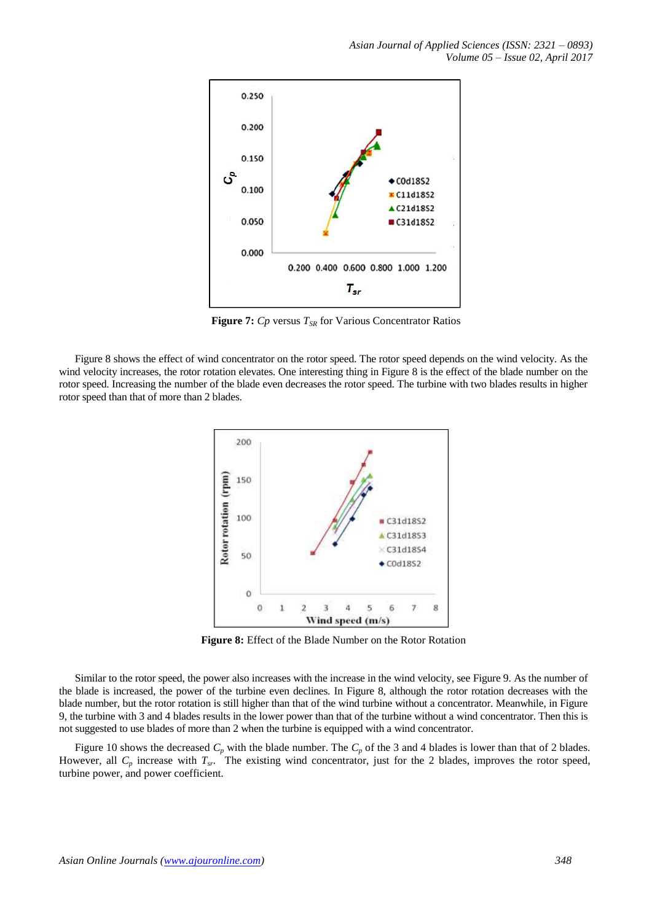

**Figure 7:** *Cp* versus *TSR* for Various Concentrator Ratios

Figure 8 shows the effect of wind concentrator on the rotor speed. The rotor speed depends on the wind velocity. As the wind velocity increases, the rotor rotation elevates. One interesting thing in Figure 8 is the effect of the blade number on the rotor speed. Increasing the number of the blade even decreases the rotor speed. The turbine with two blades results in higher rotor speed than that of more than 2 blades.



**Figure 8:** Effect of the Blade Number on the Rotor Rotation

Similar to the rotor speed, the power also increases with the increase in the wind velocity, see Figure 9. As the number of the blade is increased, the power of the turbine even declines. In Figure 8, although the rotor rotation decreases with the blade number, but the rotor rotation is still higher than that of the wind turbine without a concentrator. Meanwhile, in Figure 9, the turbine with 3 and 4 blades results in the lower power than that of the turbine without a wind concentrator. Then this is not suggested to use blades of more than 2 when the turbine is equipped with a wind concentrator.

Figure 10 shows the decreased  $C_p$  with the blade number. The  $C_p$  of the 3 and 4 blades is lower than that of 2 blades. However, all  $C_p$  increase with  $T_{sr}$ . The existing wind concentrator, just for the 2 blades, improves the rotor speed, turbine power, and power coefficient.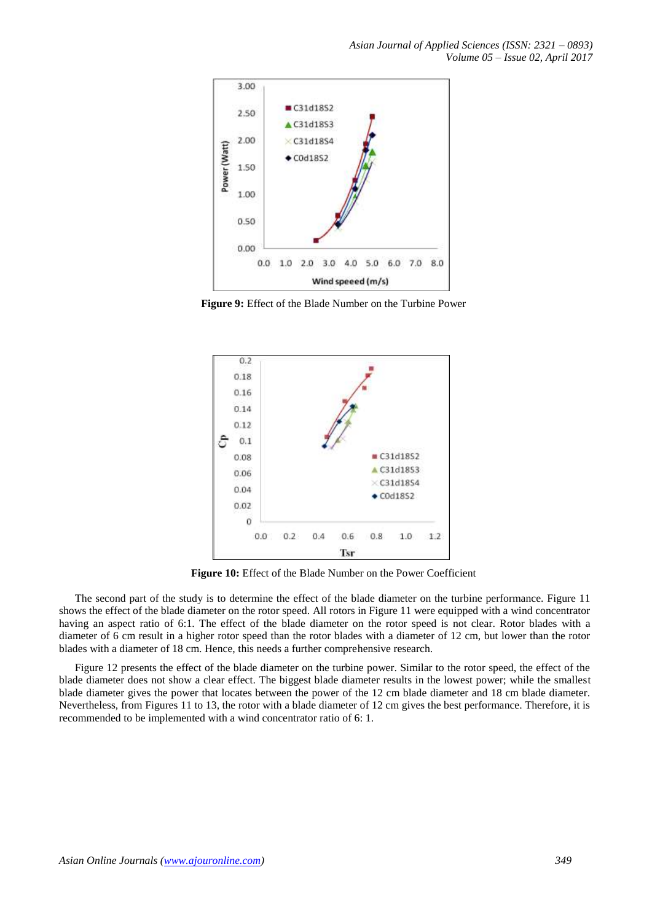

**Figure 9:** Effect of the Blade Number on the Turbine Power



**Figure 10:** Effect of the Blade Number on the Power Coefficient

The second part of the study is to determine the effect of the blade diameter on the turbine performance. Figure 11 shows the effect of the blade diameter on the rotor speed. All rotors in Figure 11 were equipped with a wind concentrator having an aspect ratio of 6:1. The effect of the blade diameter on the rotor speed is not clear. Rotor blades with a diameter of 6 cm result in a higher rotor speed than the rotor blades with a diameter of 12 cm, but lower than the rotor blades with a diameter of 18 cm. Hence, this needs a further comprehensive research.

Figure 12 presents the effect of the blade diameter on the turbine power. Similar to the rotor speed, the effect of the blade diameter does not show a clear effect. The biggest blade diameter results in the lowest power; while the smallest blade diameter gives the power that locates between the power of the 12 cm blade diameter and 18 cm blade diameter. Nevertheless, from Figures 11 to 13, the rotor with a blade diameter of 12 cm gives the best performance. Therefore, it is recommended to be implemented with a wind concentrator ratio of 6: 1.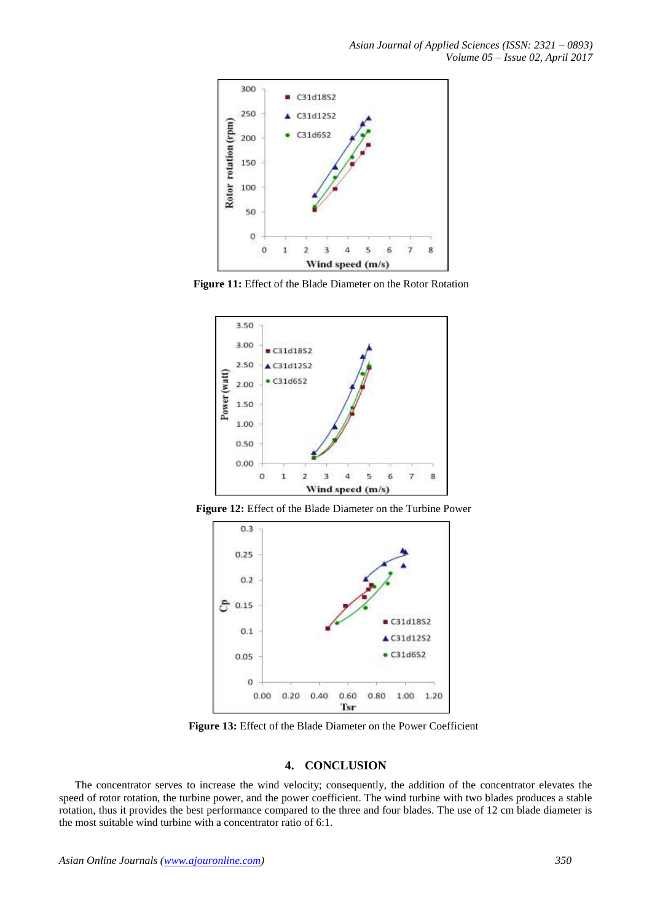

**Figure 11:** Effect of the Blade Diameter on the Rotor Rotation



**Figure 12:** Effect of the Blade Diameter on the Turbine Power



**Figure 13:** Effect of the Blade Diameter on the Power Coefficient

## **4. CONCLUSION**

The concentrator serves to increase the wind velocity; consequently, the addition of the concentrator elevates the speed of rotor rotation, the turbine power, and the power coefficient. The wind turbine with two blades produces a stable rotation, thus it provides the best performance compared to the three and four blades. The use of 12 cm blade diameter is the most suitable wind turbine with a concentrator ratio of 6:1.